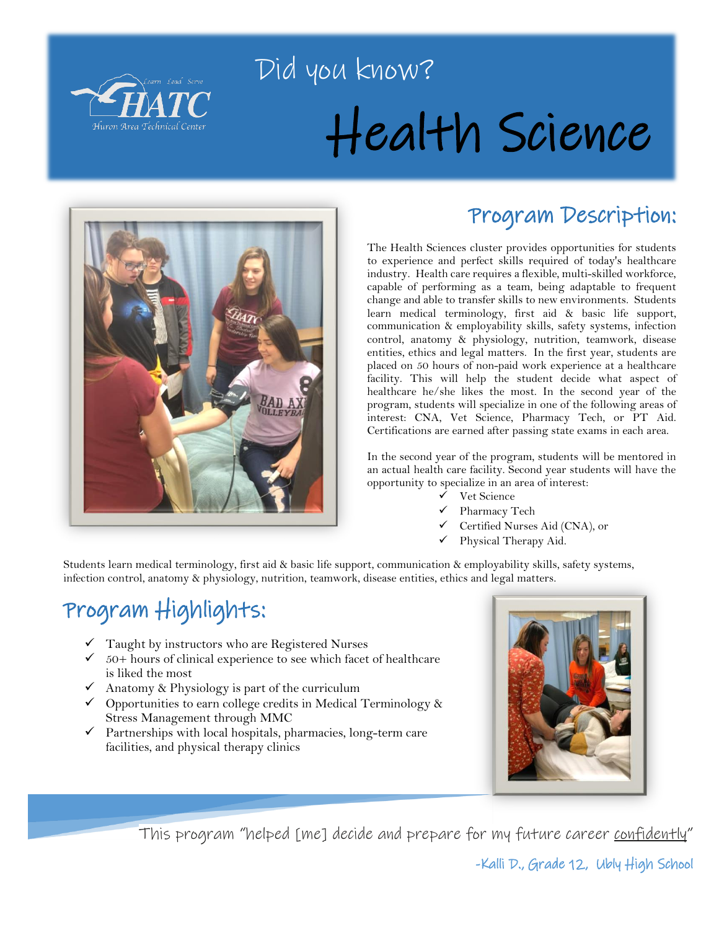

# Did you know? Health Science



### Program Description:

The Health Sciences cluster provides opportunities for students to experience and perfect skills required of today's healthcare industry. Health care requires a flexible, multi-skilled workforce, capable of performing as a team, being adaptable to frequent change and able to transfer skills to new environments. Students learn medical terminology, first aid & basic life support, communication & employability skills, safety systems, infection control, anatomy & physiology, nutrition, teamwork, disease entities, ethics and legal matters. In the first year, students are placed on 50 hours of non-paid work experience at a healthcare facility. This will help the student decide what aspect of healthcare he/she likes the most. In the second year of the program, students will specialize in one of the following areas of interest: CNA, Vet Science, Pharmacy Tech, or PT Aid. Certifications are earned after passing state exams in each area.

In the second year of the program, students will be mentored in an actual health care facility. Second year students will have the opportunity to specialize in an area of interest:

- $\checkmark$  Vet Science
- Pharmacy Tech
- Certified Nurses Aid (CNA), or
- Physical Therapy Aid.

Students learn medical terminology, first aid & basic life support, communication & employability skills, safety systems, infection control, anatomy & physiology, nutrition, teamwork, disease entities, ethics and legal matters.

## Program Highlights:

- $\checkmark$  Taught by instructors who are Registered Nurses
- $66$  50+ hours of clinical experience to see which facet of healthcare is liked the most
- Anatomy & Physiology is part of the curriculum
- $\checkmark$  Opportunities to earn college credits in Medical Terminology & Stress Management through MMC
- $\checkmark$  Partnerships with local hospitals, pharmacies, long-term care facilities, and physical therapy clinics



This program "helped [me] decide and prepare for my future career confidently"

-Kalli D., Grade 12, Ubly High School